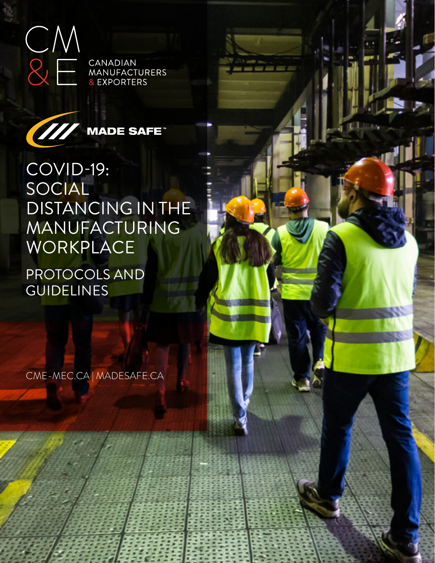



**MADE SAFE<sup>®</sup>** 

COVID-19: SOCIAL DISTANCING IN THE MANUFACTURING WORKPLACE

PROTOCOLS AND **GUIDELINES** 

CME-MEC.CA | MADESAFE.CA

1 CANADIAN MANUFACTURERS & EXPORTERS

IMPORTANT NOTE: This information is interesting as a best problem as a best problem as a best problem as a best problem. medical or legal advice. In the Coronavirus changes rapidly. Always changes rapidly. refer to a public health authority for medical advice, and consult legal counsel regarding

м

legislative concerns.

------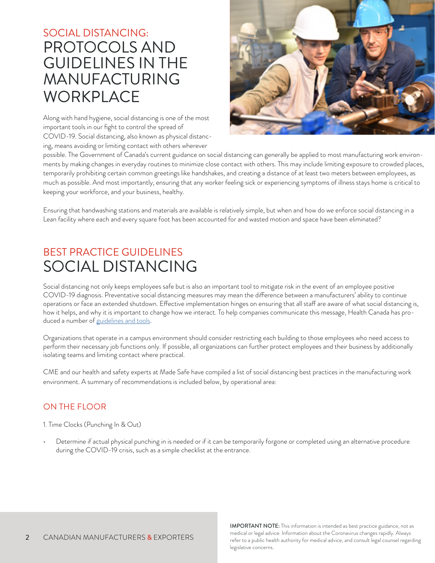# SOCIAL DISTANCING: PROTOCOLS AND GUIDELINES IN THE MANUFACTURING **WORKPLACE**

Along with hand hygiene, social distancing is one of the most important tools in our fight to control the spread of COVID-19. Social distancing, also known as physical distancing, means avoiding or limiting contact with others wherever



possible. The Government of Canada's current guidance on social distancing can generally be applied to most manufacturing work environments by making changes in everyday routines to minimize close contact with others. This may include limiting exposure to crowded places, temporarily prohibiting certain common greetings like handshakes, and creating a distance of at least two meters between employees, as much as possible. And most importantly, ensuring that any worker feeling sick or experiencing symptoms of illness stays home is critical to keeping your workforce, and your business, healthy.

Ensuring that handwashing stations and materials are available is relatively simple, but when and how do we enforce social distancing in a Lean facility where each and every square foot has been accounted for and wasted motion and space have been eliminated?

## BEST PRACTICE GUIDELINES SOCIAL DISTANCING

Social distancing not only keeps employees safe but is also an important tool to mitigate risk in the event of an employee positive COVID-19 diagnosis. Preventative social distancing measures may mean the difference between a manufacturers' ability to continue operations or face an extended shutdown. Effective implementation hinges on ensuring that all staff are aware of what social distancing is, how it helps, and why it is important to change how we interact. To help companies communicate this message, Health Canada has produced a number of [guidelines and tools](https://www.canada.ca/en/public-health/services/publications/diseases-conditions/social-distancing.html).

Organizations that operate in a campus environment should consider restricting each building to those employees who need access to perform their necessary job functions only. If possible, all organizations can further protect employees and their business by additionally isolating teams and limiting contact where practical.

CME and our health and safety experts at Made Safe have compiled a list of social distancing best practices in the manufacturing work environment. A summary of recommendations is included below, by operational area:

### ON THE FLOOR

1. Time Clocks (Punching In & Out)

• Determine if actual physical punching in is needed or if it can be temporarily forgone or completed using an alternative procedure during the COVID-19 crisis, such as a simple checklist at the entrance.

> IMPORTANT NOTE: This information is intended as best practice guidance, not as medical or legal advice. Information about the Coronavirus changes rapidly. Always refer to a public health authority for medical advice, and consult legal counsel regarding legislative concerns.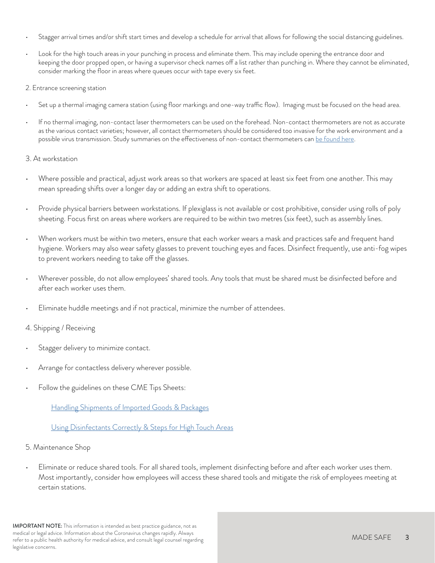- Stagger arrival times and/or shift start times and develop a schedule for arrival that allows for following the social distancing guidelines.
- Look for the high touch areas in your punching in process and eliminate them. This may include opening the entrance door and keeping the door propped open, or having a supervisor check names off a list rather than punching in. Where they cannot be eliminated, consider marking the floor in areas where queues occur with tape every six feet.

2. Entrance screening station

- Set up a thermal imaging camera station (using floor markings and one-way traffic flow). Imaging must be focused on the head area.
- If no thermal imaging, non-contact laser thermometers can be used on the forehead. Non-contact thermometers are not as accurate as the various contact varieties; however, all contact thermometers should be considered too invasive for the work environment and a possible virus transmission. Study summaries on the effectiveness of non-contact thermometers can [be found here](https://www.ncbi.nlm.nih.gov/books/NBK263242/#S22).

#### 3. At workstation

- Where possible and practical, adjust work areas so that workers are spaced at least six feet from one another. This may mean spreading shifts over a longer day or adding an extra shift to operations.
- Provide physical barriers between workstations. If plexiglass is not available or cost prohibitive, consider using rolls of poly sheeting. Focus first on areas where workers are required to be within two metres (six feet), such as assembly lines.
- When workers must be within two meters, ensure that each worker wears a mask and practices safe and frequent hand hygiene. Workers may also wear safety glasses to prevent touching eyes and faces. Disinfect frequently, use anti-fog wipes to prevent workers needing to take off the glasses.
- Wherever possible, do not allow employees' shared tools. Any tools that must be shared must be disinfected before and after each worker uses them.
- Eliminate huddle meetings and if not practical, minimize the number of attendees.

#### 4. Shipping / Receiving

- Stagger delivery to minimize contact.
- Arrange for contactless delivery wherever possible.
- Follow the guidelines on these CME Tips Sheets:

[Handling Shipments of Imported Goods & Packages](https://cme-mec.ca/wp-content/uploads/2020/03/2020-CME-Made-Safe-COVID-19-Health-and-Safety-Tips-Shipping-FINAL-WEB.pdf)

#### [Using Disinfectants Correctly & Steps for High Touch Areas](https://cme-mec.ca/wp-content/uploads/2020/03/CME-Made-Safe-COVID-19-H-S-Safety-Tips-Disinfection-High-Touch-Areas-FINAL-WEB.pdf)

#### 5. Maintenance Shop

• Eliminate or reduce shared tools. For all shared tools, implement disinfecting before and after each worker uses them. Most importantly, consider how employees will access these shared tools and mitigate the risk of employees meeting at certain stations.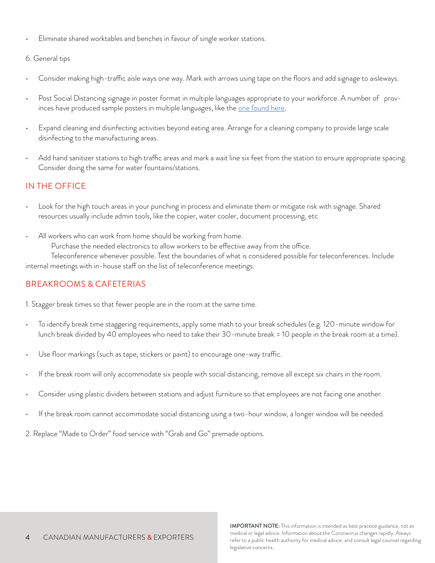• Eliminate shared worktables and benches in favour of single worker stations.

#### 6. General tips

- Consider making high-traffic aisle ways one way. Mark with arrows using tape on the floors and add signage to aisleways.
- Post Social Distancing signage in poster format in multiple languages appropriate to your workforce. A number of provinces have produced sample posters in multiple languages, like the <u>one found here</u>.
- Expand cleaning and disinfecting activities beyond eating area. Arrange for a cleaning company to provide large scale disinfecting to the manufacturing areas.
- Add hand sanitizer stations to high traffic areas and mark a wait line six feet from the station to ensure appropriate spacing. Consider doing the same for water fountains/stations.

### IN THE OFFICE

- Look for the high touch areas in your punching in process and eliminate them or mitigate risk with signage. Shared resources usually include admin tools, like the copier, water cooler, document processing, etc
- All workers who can work from home should be working from home.

Purchase the needed electronics to allow workers to be effective away from the office.

Teleconference whenever possible. Test the boundaries of what is considered possible for teleconferences. Include internal meetings with in-house staff on the list of teleconference meetings.

### BREAKROOMS & CAFETERIAS

1. Stagger break times so that fewer people are in the room at the same time.

- To identify break time staggering requirements, apply some math to your break schedules (e.g. 120-minute window for lunch break divided by 40 employees who need to take their 30-minute break = 10 people in the break room at a time).
- Use floor markings (such as tape, stickers or paint) to encourage one-way traffic.
- If the break room will only accommodate six people with social distancing, remove all except six chairs in the room.
- Consider using plastic dividers between stations and adjust furniture so that employees are not facing one another.
- If the break room cannot accommodate social distancing using a two-hour window, a longer window will be needed.

2. Replace "Made to Order" food service with "Grab and Go" premade options.